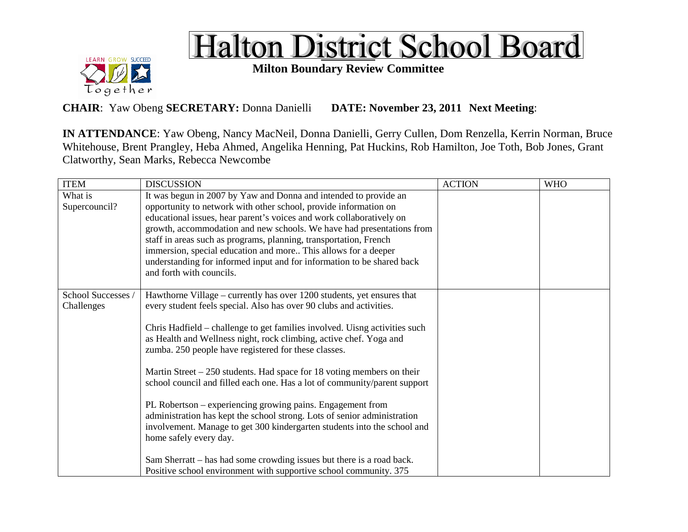



**Milton Boundary Review Committee**

**CHAIR**: Yaw Obeng **SECRETARY:** Donna Danielli **DATE: November 23, 2011 Next Meeting**:

**IN ATTENDANCE**: Yaw Obeng, Nancy MacNeil, Donna Danielli, Gerry Cullen, Dom Renzella, Kerrin Norman, Bruce Whitehouse, Brent Prangley, Heba Ahmed, Angelika Henning, Pat Huckins, Rob Hamilton, Joe Toth, Bob Jones, Grant Clatworthy, Sean Marks, Rebecca Newcombe

| <b>ITEM</b>                      | <b>DISCUSSION</b>                                                                                                                                                                                                                                                                                                                                                                                                                                                                                                                                                                                                                                                                                                                                                                                                                                                                                               | <b>ACTION</b> | <b>WHO</b> |
|----------------------------------|-----------------------------------------------------------------------------------------------------------------------------------------------------------------------------------------------------------------------------------------------------------------------------------------------------------------------------------------------------------------------------------------------------------------------------------------------------------------------------------------------------------------------------------------------------------------------------------------------------------------------------------------------------------------------------------------------------------------------------------------------------------------------------------------------------------------------------------------------------------------------------------------------------------------|---------------|------------|
| What is<br>Supercouncil?         | It was begun in 2007 by Yaw and Donna and intended to provide an<br>opportunity to network with other school, provide information on<br>educational issues, hear parent's voices and work collaboratively on<br>growth, accommodation and new schools. We have had presentations from<br>staff in areas such as programs, planning, transportation, French<br>immersion, special education and more This allows for a deeper<br>understanding for informed input and for information to be shared back<br>and forth with councils.                                                                                                                                                                                                                                                                                                                                                                              |               |            |
| School Successes /<br>Challenges | Hawthorne Village – currently has over 1200 students, yet ensures that<br>every student feels special. Also has over 90 clubs and activities.<br>Chris Hadfield – challenge to get families involved. Uisng activities such<br>as Health and Wellness night, rock climbing, active chef. Yoga and<br>zumba. 250 people have registered for these classes.<br>Martin Street $-250$ students. Had space for 18 voting members on their<br>school council and filled each one. Has a lot of community/parent support<br>PL Robertson – experiencing growing pains. Engagement from<br>administration has kept the school strong. Lots of senior administration<br>involvement. Manage to get 300 kindergarten students into the school and<br>home safely every day.<br>Sam Sherratt – has had some crowding issues but there is a road back.<br>Positive school environment with supportive school community. 375 |               |            |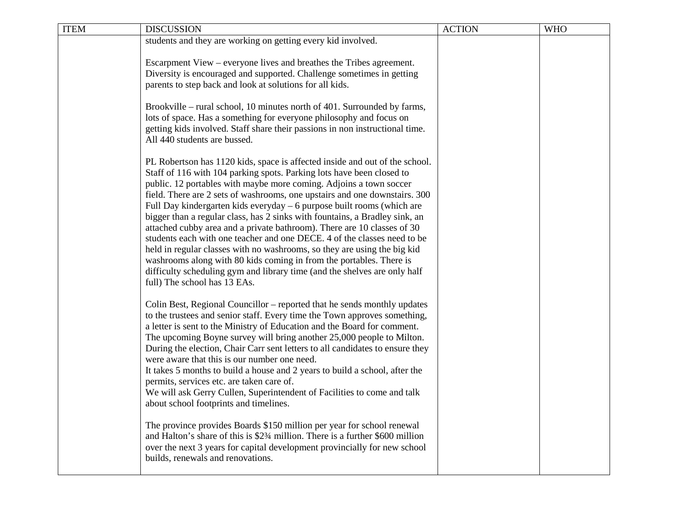| <b>ITEM</b> | <b>DISCUSSION</b>                                                                                                                                    | <b>ACTION</b> | <b>WHO</b> |
|-------------|------------------------------------------------------------------------------------------------------------------------------------------------------|---------------|------------|
|             | students and they are working on getting every kid involved.                                                                                         |               |            |
|             |                                                                                                                                                      |               |            |
|             | Escarpment View – everyone lives and breathes the Tribes agreement.<br>Diversity is encouraged and supported. Challenge sometimes in getting         |               |            |
|             | parents to step back and look at solutions for all kids.                                                                                             |               |            |
|             |                                                                                                                                                      |               |            |
|             | Brookville – rural school, 10 minutes north of 401. Surrounded by farms,                                                                             |               |            |
|             | lots of space. Has a something for everyone philosophy and focus on                                                                                  |               |            |
|             | getting kids involved. Staff share their passions in non instructional time.                                                                         |               |            |
|             | All 440 students are bussed.                                                                                                                         |               |            |
|             |                                                                                                                                                      |               |            |
|             | PL Robertson has 1120 kids, space is affected inside and out of the school.<br>Staff of 116 with 104 parking spots. Parking lots have been closed to |               |            |
|             | public. 12 portables with maybe more coming. Adjoins a town soccer                                                                                   |               |            |
|             | field. There are 2 sets of washrooms, one upstairs and one downstairs. 300                                                                           |               |            |
|             | Full Day kindergarten kids everyday – 6 purpose built rooms (which are                                                                               |               |            |
|             | bigger than a regular class, has 2 sinks with fountains, a Bradley sink, an                                                                          |               |            |
|             | attached cubby area and a private bathroom). There are 10 classes of 30                                                                              |               |            |
|             | students each with one teacher and one DECE. 4 of the classes need to be                                                                             |               |            |
|             | held in regular classes with no washrooms, so they are using the big kid                                                                             |               |            |
|             | washrooms along with 80 kids coming in from the portables. There is<br>difficulty scheduling gym and library time (and the shelves are only half     |               |            |
|             | full) The school has 13 EAs.                                                                                                                         |               |            |
|             |                                                                                                                                                      |               |            |
|             | Colin Best, Regional Councillor – reported that he sends monthly updates                                                                             |               |            |
|             | to the trustees and senior staff. Every time the Town approves something,                                                                            |               |            |
|             | a letter is sent to the Ministry of Education and the Board for comment.                                                                             |               |            |
|             | The upcoming Boyne survey will bring another 25,000 people to Milton.                                                                                |               |            |
|             | During the election, Chair Carr sent letters to all candidates to ensure they<br>were aware that this is our number one need.                        |               |            |
|             | It takes 5 months to build a house and 2 years to build a school, after the                                                                          |               |            |
|             | permits, services etc. are taken care of.                                                                                                            |               |            |
|             | We will ask Gerry Cullen, Superintendent of Facilities to come and talk                                                                              |               |            |
|             | about school footprints and timelines.                                                                                                               |               |            |
|             |                                                                                                                                                      |               |            |
|             | The province provides Boards \$150 million per year for school renewal                                                                               |               |            |
|             | and Halton's share of this is \$23⁄4 million. There is a further \$600 million                                                                       |               |            |
|             | over the next 3 years for capital development provincially for new school<br>builds, renewals and renovations.                                       |               |            |
|             |                                                                                                                                                      |               |            |